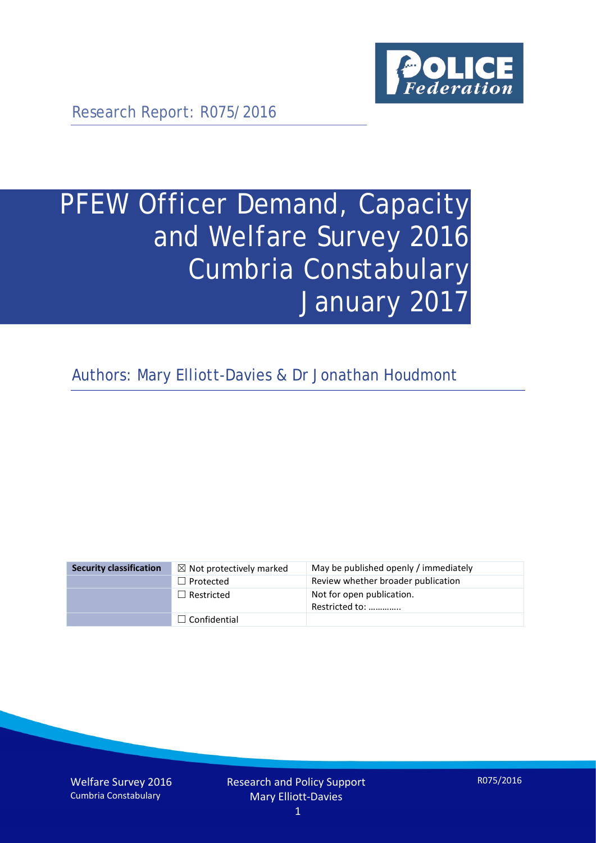

Research Report: R075/2016

# PFEW Officer Demand, Capacity and Welfare Survey 2016 Cumbria Constabulary January 2017

Authors: Mary Elliott-Davies & Dr Jonathan Houdmont

| <b>Security classification</b> | $\boxtimes$ Not protectively marked | May be published openly / immediately       |
|--------------------------------|-------------------------------------|---------------------------------------------|
|                                | $\Box$ Protected                    | Review whether broader publication          |
|                                | $\Box$ Restricted                   | Not for open publication.<br>Restricted to: |
|                                | $\Box$ Confidential                 |                                             |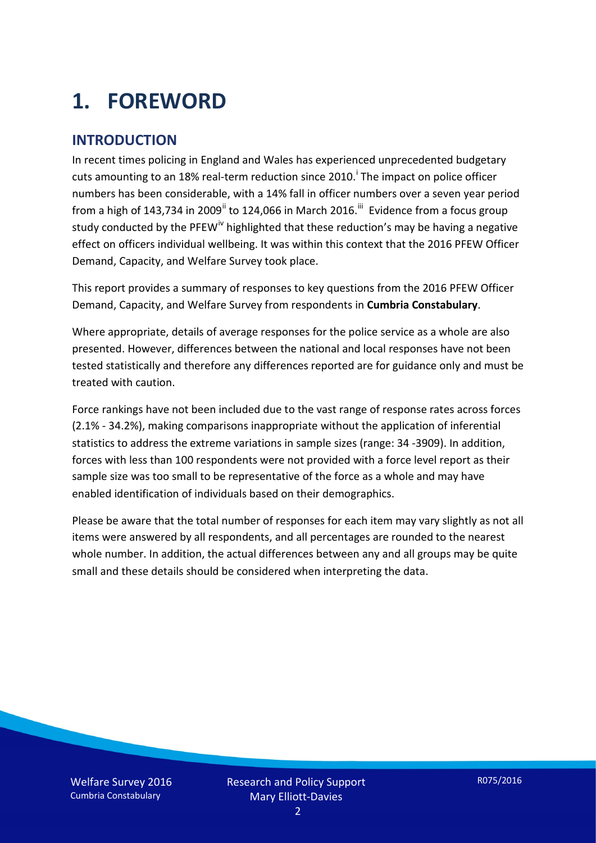# **1. FOREWORD**

#### **INTRODUCTION**

In recent times policing in England and Wales has experienced unprecedented budgetary cuts amount[i](#page-15-0)ng to an 18% real-term reduction since 2010.<sup>1</sup> The impact on police officer numbers has been considerable, with a 14% fall in officer numbers over a seven year period from a high of 143,734 in 2009<sup>[ii](#page-15-1)</sup> to 124,066 in March 2016.<sup>[iii](#page-15-2)</sup> Evidence from a focus group study conducted by the PFEW<sup>[iv](#page-15-3)</sup> highlighted that these reduction's may be having a negative effect on officers individual wellbeing. It was within this context that the 2016 PFEW Officer Demand, Capacity, and Welfare Survey took place.

This report provides a summary of responses to key questions from the 2016 PFEW Officer Demand, Capacity, and Welfare Survey from respondents in **Cumbria Constabulary**.

Where appropriate, details of average responses for the police service as a whole are also presented. However, differences between the national and local responses have not been tested statistically and therefore any differences reported are for guidance only and must be treated with caution.

Force rankings have not been included due to the vast range of response rates across forces (2.1% - 34.2%), making comparisons inappropriate without the application of inferential statistics to address the extreme variations in sample sizes (range: 34 -3909). In addition, forces with less than 100 respondents were not provided with a force level report as their sample size was too small to be representative of the force as a whole and may have enabled identification of individuals based on their demographics.

Please be aware that the total number of responses for each item may vary slightly as not all items were answered by all respondents, and all percentages are rounded to the nearest whole number. In addition, the actual differences between any and all groups may be quite small and these details should be considered when interpreting the data.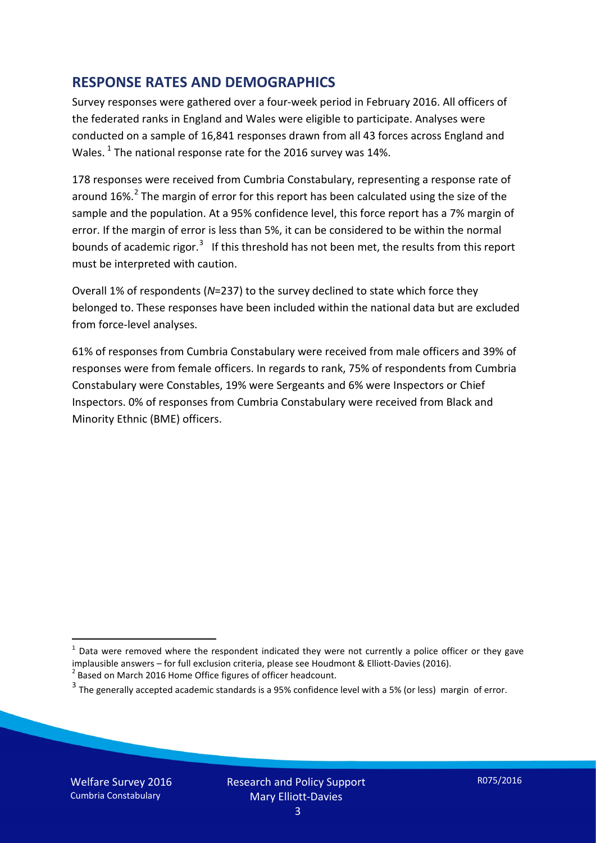#### **RESPONSE RATES AND DEMOGRAPHICS**

Survey responses were gathered over a four-week period in February 2016. All officers of the federated ranks in England and Wales were eligible to participate. Analyses were conducted on a sample of 16,841 responses drawn from all 43 forces across England and Wales.  $^1$  $^1$  The national response rate for the 2016 survey was 14%.

178 responses were received from Cumbria Constabulary, representing a response rate of around 16%.<sup>[2](#page-2-1)</sup> The margin of error for this report has been calculated using the size of the sample and the population. At a 95% confidence level, this force report has a 7% margin of error. If the margin of error is less than 5%, it can be considered to be within the normal bounds of academic rigor.<sup>[3](#page-2-2)</sup> If this threshold has not been met, the results from this report must be interpreted with caution.

Overall 1% of respondents (*N*=237) to the survey declined to state which force they belonged to. These responses have been included within the national data but are excluded from force-level analyses.

61% of responses from Cumbria Constabulary were received from male officers and 39% of responses were from female officers. In regards to rank, 75% of respondents from Cumbria Constabulary were Constables, 19% were Sergeants and 6% were Inspectors or Chief Inspectors. 0% of responses from Cumbria Constabulary were received from Black and Minority Ethnic (BME) officers.

-

<span id="page-2-0"></span> $1$  Data were removed where the respondent indicated they were not currently a police officer or they gave implausible answers – for full exclusion criteria, please see Houdmont & Elliott-Davies (2016).<br><sup>2</sup> Based on March 2016 Home Office figures of officer headcount.

<span id="page-2-1"></span>

<span id="page-2-2"></span> $3$  The generally accepted academic standards is a 95% confidence level with a 5% (or less) margin of error.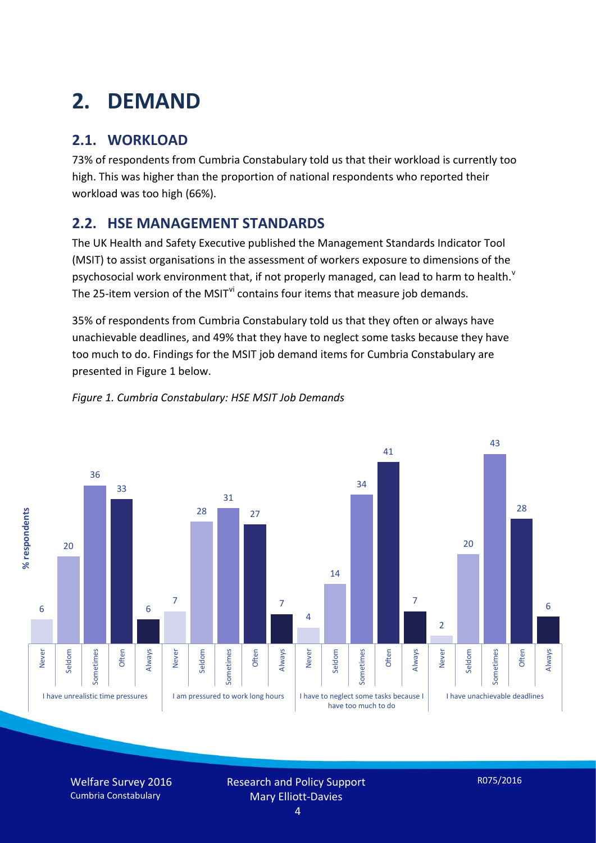# **2. DEMAND**

## **2.1. WORKLOAD**

73% of respondents from Cumbria Constabulary told us that their workload is currently too high. This was higher than the proportion of national respondents who reported their workload was too high (66%).

### **2.2. HSE MANAGEMENT STANDARDS**

The UK Health and Safety Executive published the Management Standards Indicator Tool (MSIT) to assist organisations in the assessment of workers exposure to dimensions of the psychosocial work en[v](#page-15-4)ironment that, if not properly managed, can lead to harm to health.<sup>v</sup> The 25-item version of the MSIT<sup>[vi](#page-15-5)</sup> contains four items that measure job demands.

35% of respondents from Cumbria Constabulary told us that they often or always have unachievable deadlines, and 49% that they have to neglect some tasks because they have too much to do. Findings for the MSIT job demand items for Cumbria Constabulary are presented in Figure 1 below.



#### *Figure 1. Cumbria Constabulary: HSE MSIT Job Demands*

Welfare Survey 2016 Cumbria Constabulary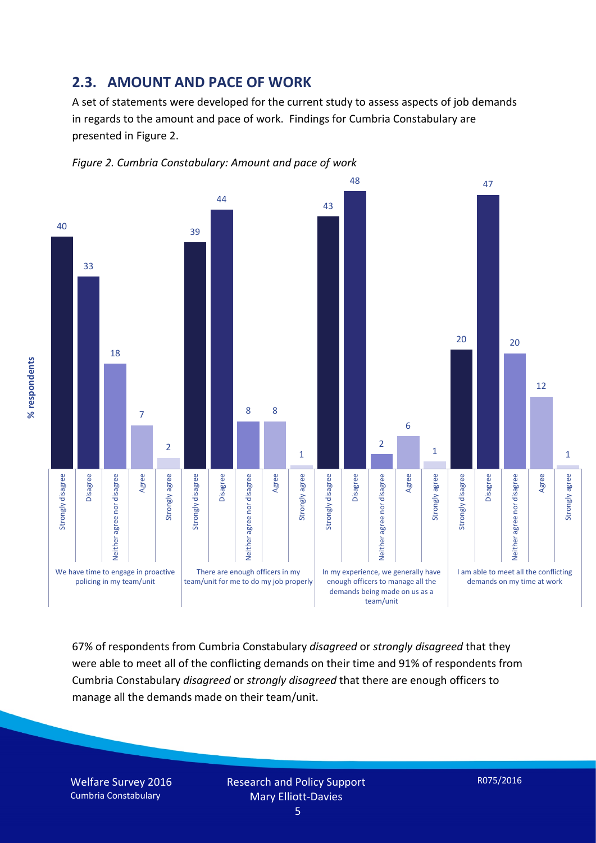#### **2.3. AMOUNT AND PACE OF WORK**

A set of statements were developed for the current study to assess aspects of job demands in regards to the amount and pace of work. Findings for Cumbria Constabulary are presented in Figure 2.





67% of respondents from Cumbria Constabulary *disagreed* or *strongly disagreed* that they were able to meet all of the conflicting demands on their time and 91% of respondents from Cumbria Constabulary *disagreed* or *strongly disagreed* that there are enough officers to manage all the demands made on their team/unit.

Welfare Survey 2016 Cumbria Constabulary

% respondents **% respondents**

> Research and Policy Support Mary Elliott-Davies

R075/2016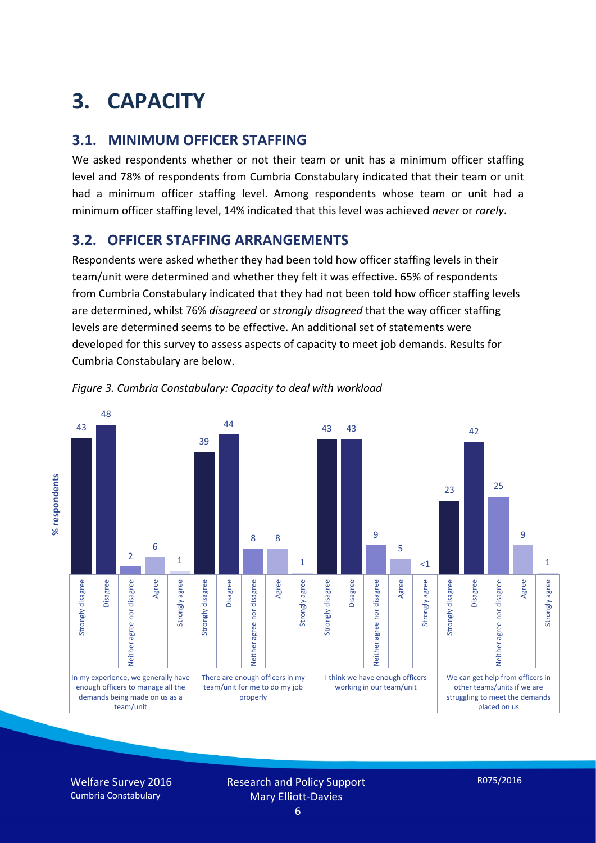# **3. CAPACITY**

#### **3.1. MINIMUM OFFICER STAFFING**

We asked respondents whether or not their team or unit has a minimum officer staffing level and 78% of respondents from Cumbria Constabulary indicated that their team or unit had a minimum officer staffing level. Among respondents whose team or unit had a minimum officer staffing level, 14% indicated that this level was achieved *never* or *rarely*.

#### **3.2. OFFICER STAFFING ARRANGEMENTS**

Respondents were asked whether they had been told how officer staffing levels in their team/unit were determined and whether they felt it was effective. 65% of respondents from Cumbria Constabulary indicated that they had not been told how officer staffing levels are determined, whilst 76% *disagreed* or *strongly disagreed* that the way officer staffing levels are determined seems to be effective. An additional set of statements were developed for this survey to assess aspects of capacity to meet job demands. Results for Cumbria Constabulary are below.





Welfare Survey 2016 Cumbria Constabulary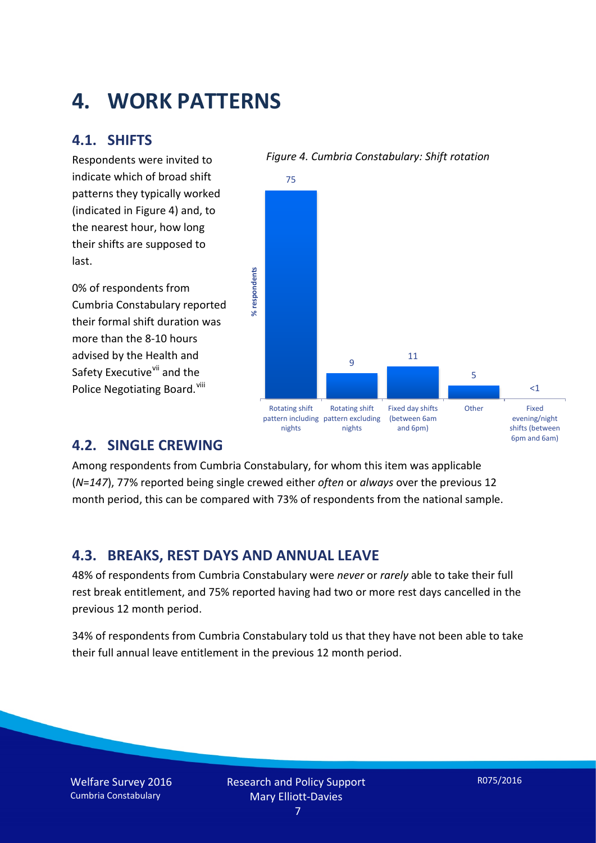## **4. WORK PATTERNS**

#### **4.1. SHIFTS**

Respondents were invited to indicate which of broad shift patterns they typically worked (indicated in Figure 4) and, to the nearest hour, how long their shifts are supposed to last.

0% of respondents from Cumbria Constabulary reported their formal shift duration was more than the 8-10 hours advised by the Health and Safety Executive<sup>[vii](#page-15-6)</sup> and the Police Negotiating Board. Vill

#### *Figure 4. Cumbria Constabulary: Shift rotation*



#### **4.2. SINGLE CREWING**

Among respondents from Cumbria Constabulary, for whom this item was applicable (*N*=*147*), 77% reported being single crewed either *often* or *always* over the previous 12 month period, this can be compared with 73% of respondents from the national sample.

#### **4.3. BREAKS, REST DAYS AND ANNUAL LEAVE**

48% of respondents from Cumbria Constabulary were *never* or *rarely* able to take their full rest break entitlement, and 75% reported having had two or more rest days cancelled in the previous 12 month period.

34% of respondents from Cumbria Constabulary told us that they have not been able to take their full annual leave entitlement in the previous 12 month period.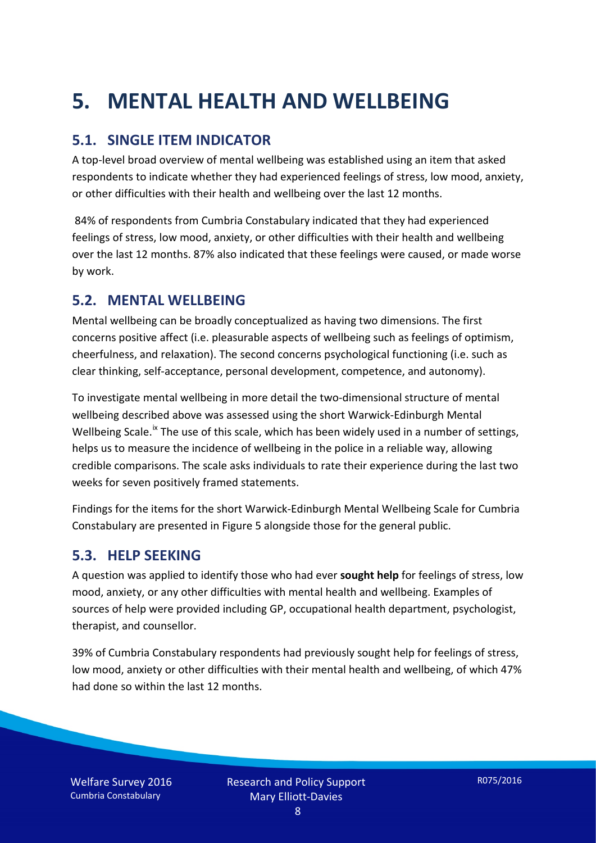# **5. MENTAL HEALTH AND WELLBEING**

### **5.1. SINGLE ITEM INDICATOR**

A top-level broad overview of mental wellbeing was established using an item that asked respondents to indicate whether they had experienced feelings of stress, low mood, anxiety, or other difficulties with their health and wellbeing over the last 12 months.

84% of respondents from Cumbria Constabulary indicated that they had experienced feelings of stress, low mood, anxiety, or other difficulties with their health and wellbeing over the last 12 months. 87% also indicated that these feelings were caused, or made worse by work.

#### **5.2. MENTAL WELLBEING**

Mental wellbeing can be broadly conceptualized as having two dimensions. The first concerns positive affect (i.e. pleasurable aspects of wellbeing such as feelings of optimism, cheerfulness, and relaxation). The second concerns psychological functioning (i.e. such as clear thinking, self-acceptance, personal development, competence, and autonomy).

To investigate mental wellbeing in more detail the two-dimensional structure of mental wellbeing described above was assessed using the short Warwick-Edinburgh Mental Wellbeing Scale.<sup>[ix](#page-15-8)</sup> The use of this scale, which has been widely used in a number of settings, helps us to measure the incidence of wellbeing in the police in a reliable way, allowing credible comparisons. The scale asks individuals to rate their experience during the last two weeks for seven positively framed statements.

Findings for the items for the short Warwick-Edinburgh Mental Wellbeing Scale for Cumbria Constabulary are presented in Figure 5 alongside those for the general public.

#### **5.3. HELP SEEKING**

A question was applied to identify those who had ever **sought help** for feelings of stress, low mood, anxiety, or any other difficulties with mental health and wellbeing. Examples of sources of help were provided including GP, occupational health department, psychologist, therapist, and counsellor.

39% of Cumbria Constabulary respondents had previously sought help for feelings of stress, low mood, anxiety or other difficulties with their mental health and wellbeing, of which 47% had done so within the last 12 months.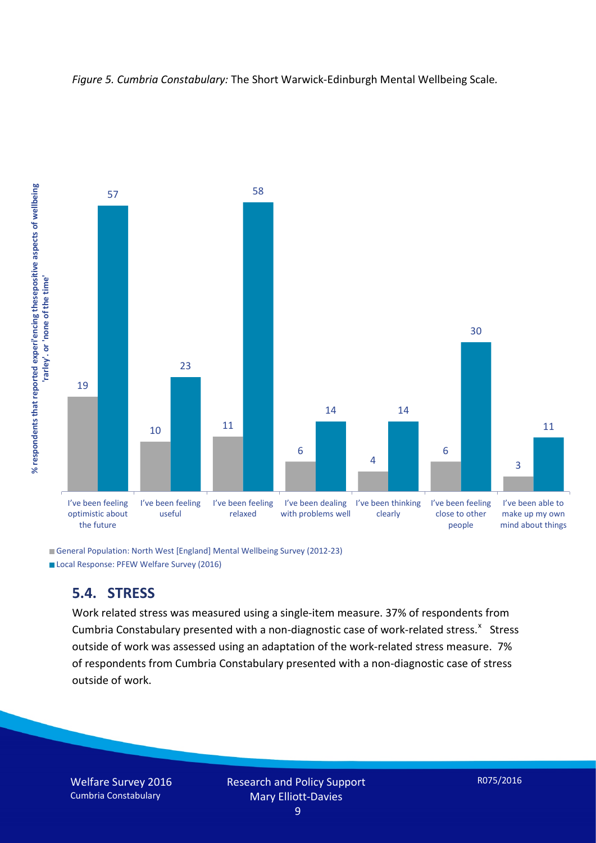



General Population: North West [England] Mental Wellbeing Survey (2012-23) Local Response: PFEW Welfare Survey (2016)

#### **5.4. STRESS**

Work related stress was measured using a single-item measure. 37% of respondents from Cumbria Constabulary presented with a non-diagnostic case of work-related stress.<sup>[x](#page-15-9)</sup> Stress outside of work was assessed using an adaptation of the work-related stress measure. 7% of respondents from Cumbria Constabulary presented with a non-diagnostic case of stress outside of work.

Welfare Survey 2016 Cumbria Constabulary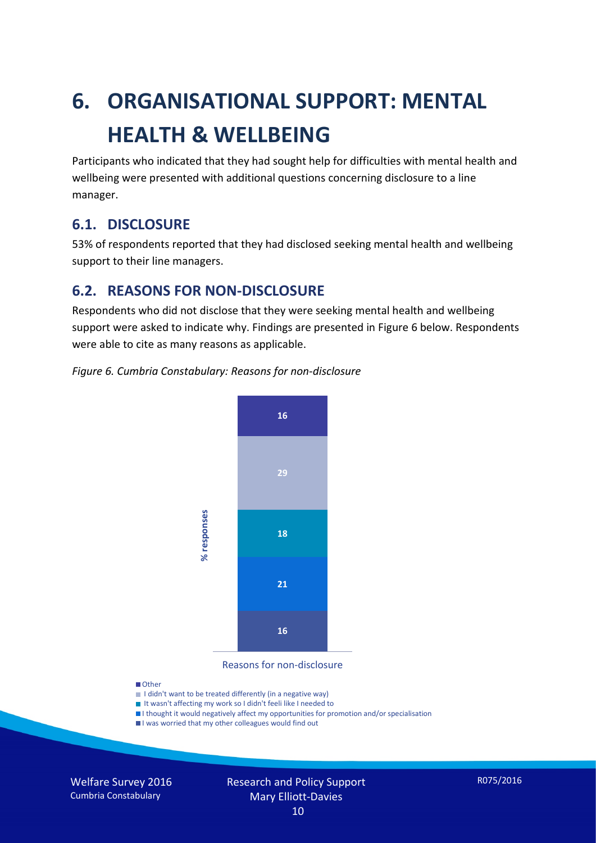# **6. ORGANISATIONAL SUPPORT: MENTAL HEALTH & WELLBEING**

Participants who indicated that they had sought help for difficulties with mental health and wellbeing were presented with additional questions concerning disclosure to a line manager.

#### **6.1. DISCLOSURE**

53% of respondents reported that they had disclosed seeking mental health and wellbeing support to their line managers.

#### **6.2. REASONS FOR NON-DISCLOSURE**

Respondents who did not disclose that they were seeking mental health and wellbeing support were asked to indicate why. Findings are presented in Figure 6 below. Respondents were able to cite as many reasons as applicable.

#### *Figure 6. Cumbria Constabulary: Reasons for non-disclosure*



Reasons for non-disclosure

#### **D**Other

- I didn't want to be treated differently (in a negative way)
- I It wasn't affecting my work so I didn't feeli like I needed to
- I thought it would negatively affect my opportunities for promotion and/or specialisation
- I was worried that my other colleagues would find out

Welfare Survey 2016 Cumbria Constabulary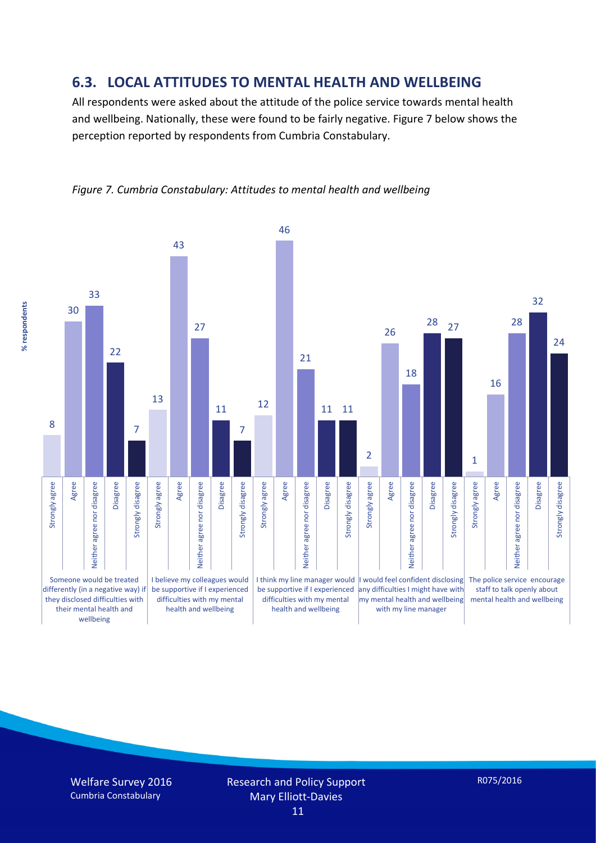#### **6.3. LOCAL ATTITUDES TO MENTAL HEALTH AND WELLBEING**

All respondents were asked about the attitude of the police service towards mental health and wellbeing. Nationally, these were found to be fairly negative. Figure 7 below shows the perception reported by respondents from Cumbria Constabulary.



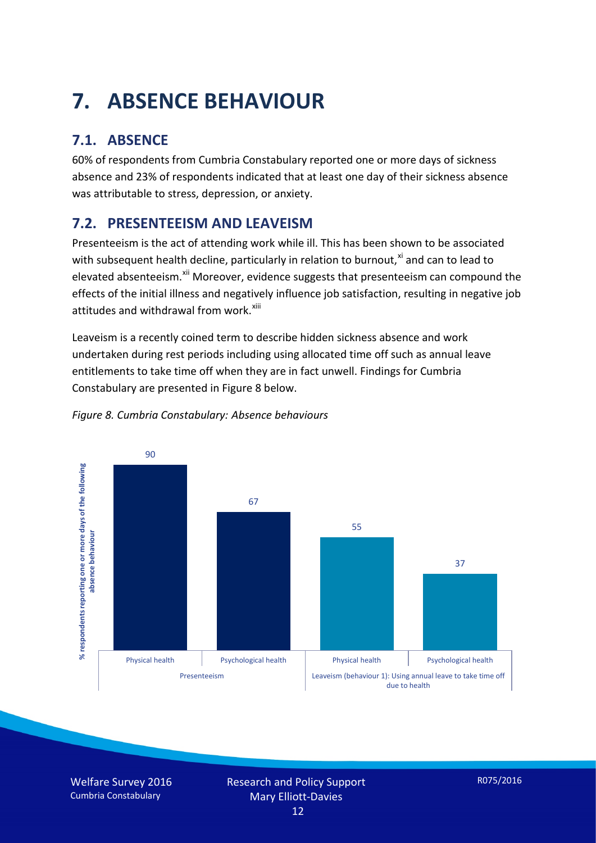# **7. ABSENCE BEHAVIOUR**

## **7.1. ABSENCE**

60% of respondents from Cumbria Constabulary reported one or more days of sickness absence and 23% of respondents indicated that at least one day of their sickness absence was attributable to stress, depression, or anxiety.

## **7.2. PRESENTEEISM AND LEAVEISM**

Presenteeism is the act of attending work while ill. This has been shown to be associated with subsequent health decline, particularly in relation to burnout, $x_i$  and can to lead to elevated absenteeism.<sup>[xii](#page-16-1)</sup> Moreover, evidence suggests that presenteeism can compound the effects of the initial illness and negatively influence job satisfaction, resulting in negative job attitudes and withdrawal from work.<sup>[xiii](#page-16-2)</sup>

Leaveism is a recently coined term to describe hidden sickness absence and work undertaken during rest periods including using allocated time off such as annual leave entitlements to take time off when they are in fact unwell. Findings for Cumbria Constabulary are presented in Figure 8 below.



#### *Figure 8. Cumbria Constabulary: Absence behaviours*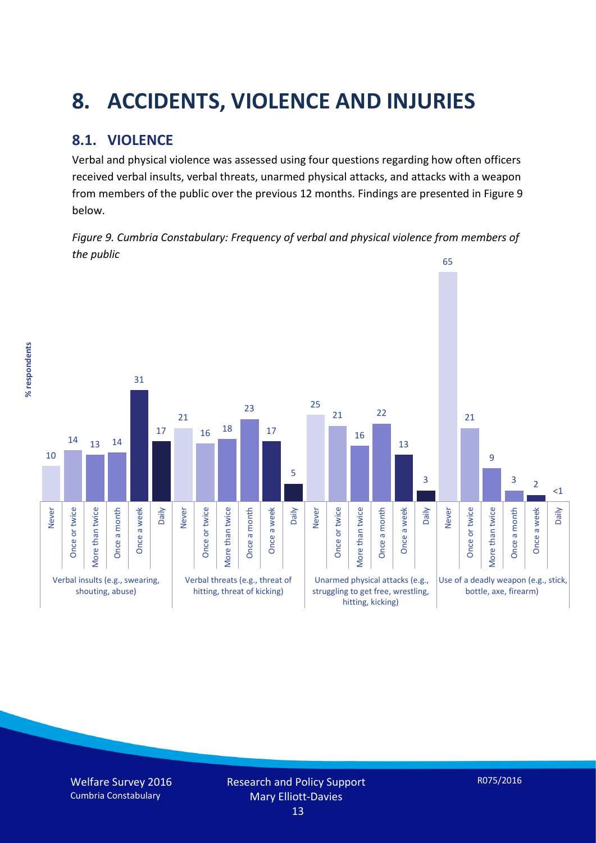# **8. ACCIDENTS, VIOLENCE AND INJURIES**

## **8.1. VIOLENCE**

% respondents **% respondents** Verbal and physical violence was assessed using four questions regarding how often officers received verbal insults, verbal threats, unarmed physical attacks, and attacks with a weapon from members of the public over the previous 12 months. Findings are presented in Figure 9 below.

*Figure 9. Cumbria Constabulary: Frequency of verbal and physical violence from members of the public*

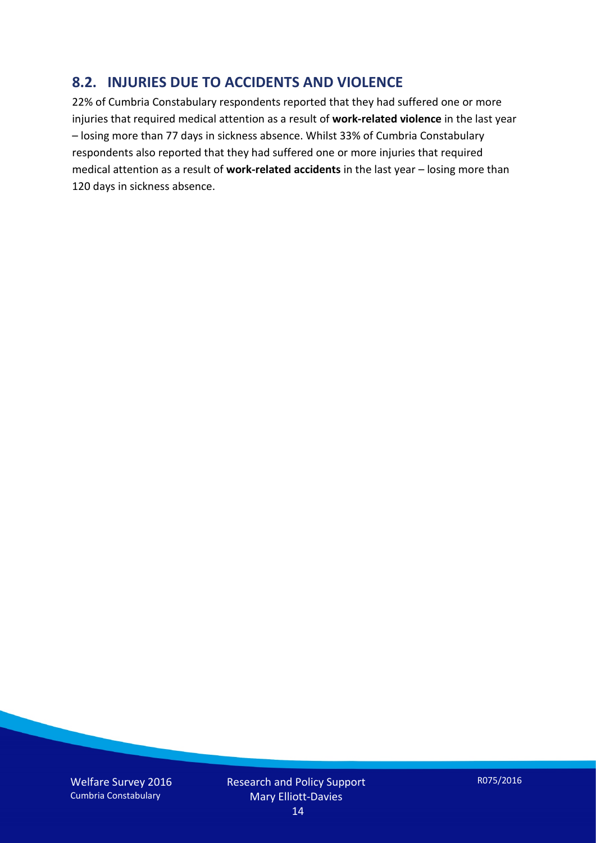#### **8.2. INJURIES DUE TO ACCIDENTS AND VIOLENCE**

22% of Cumbria Constabulary respondents reported that they had suffered one or more injuries that required medical attention as a result of **work-related violence** in the last year – losing more than 77 days in sickness absence. Whilst 33% of Cumbria Constabulary respondents also reported that they had suffered one or more injuries that required medical attention as a result of **work-related accidents** in the last year – losing more than 120 days in sickness absence.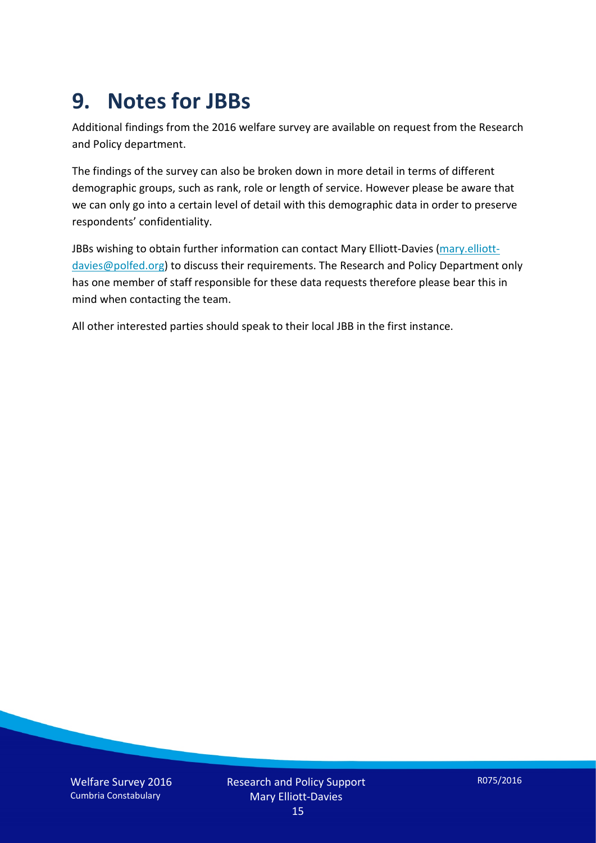## **9. Notes for JBBs**

Additional findings from the 2016 welfare survey are available on request from the Research and Policy department.

The findings of the survey can also be broken down in more detail in terms of different demographic groups, such as rank, role or length of service. However please be aware that we can only go into a certain level of detail with this demographic data in order to preserve respondents' confidentiality.

JBBs wishing to obtain further information can contact Mary Elliott-Davies [\(mary.elliott](mailto:mary.elliott-davies@polfed.org)[davies@polfed.org\)](mailto:mary.elliott-davies@polfed.org) to discuss their requirements. The Research and Policy Department only has one member of staff responsible for these data requests therefore please bear this in mind when contacting the team.

All other interested parties should speak to their local JBB in the first instance.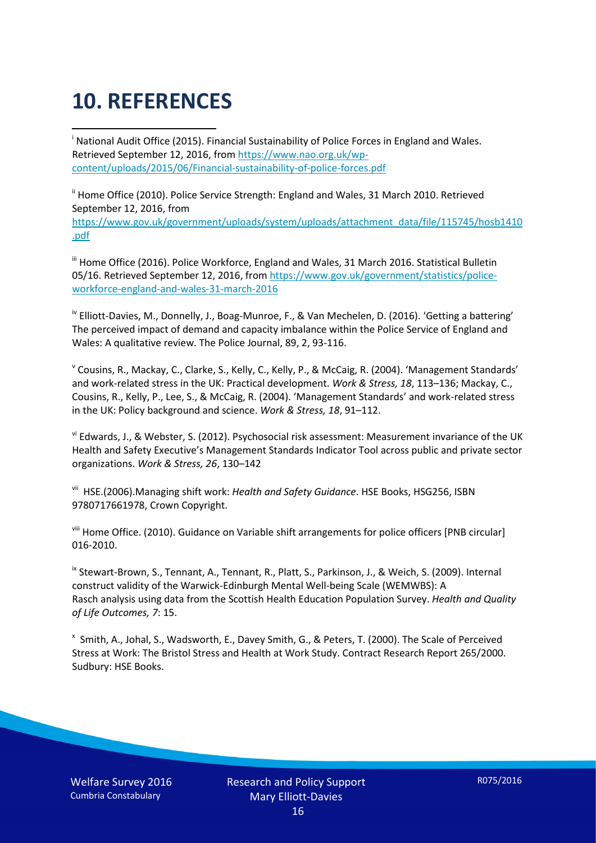# **10. REFERENCES**

<span id="page-15-0"></span>i National Audit Office (2015). Financial Sustainability of Police Forces in England and Wales. Retrieved September 12, 2016, fro[m https://www.nao.org.uk/wp](https://www.nao.org.uk/wp-content/uploads/2015/06/Financial-sustainability-of-police-forces.pdf)[content/uploads/2015/06/Financial-sustainability-of-police-forces.pdf](https://www.nao.org.uk/wp-content/uploads/2015/06/Financial-sustainability-of-police-forces.pdf)

<span id="page-15-1"></span><sup>ii</sup> Home Office (2010). Police Service Strength: England and Wales, 31 March 2010. Retrieved September 12, 2016, from [https://www.gov.uk/government/uploads/system/uploads/attachment\\_data/file/115745/hosb1410](https://www.gov.uk/government/uploads/system/uploads/attachment_data/file/115745/hosb1410.pdf) [.pdf](https://www.gov.uk/government/uploads/system/uploads/attachment_data/file/115745/hosb1410.pdf)

<span id="page-15-2"></span><sup>iii</sup> Home Office (2016). Police Workforce, England and Wales, 31 March 2016. Statistical Bulletin 05/16. Retrieved September 12, 2016, fro[m https://www.gov.uk/government/statistics/police](https://www.gov.uk/government/statistics/police-workforce-england-and-wales-31-march-2016)[workforce-england-and-wales-31-march-2016](https://www.gov.uk/government/statistics/police-workforce-england-and-wales-31-march-2016)

<span id="page-15-3"></span><sup>iv</sup> Elliott-Davies, M., Donnelly, J., Boag-Munroe, F., & Van Mechelen, D. (2016). 'Getting a battering' The perceived impact of demand and capacity imbalance within the Police Service of England and Wales: A qualitative review. The Police Journal, 89, 2, 93-116.

<span id="page-15-4"></span><sup>v</sup> Cousins, R., Mackay, C., Clarke, S., Kelly, C., Kelly, P., & McCaig, R. (2004). 'Management Standards' and work-related stress in the UK: Practical development. *Work & Stress, 18*, 113–136; Mackay, C., Cousins, R., Kelly, P., Lee, S., & McCaig, R. (2004). 'Management Standards' and work-related stress in the UK: Policy background and science. *Work & Stress, 18*, 91–112.

<span id="page-15-5"></span>vi Edwards, J., & Webster, S. (2012). Psychosocial risk assessment: Measurement invariance of the UK Health and Safety Executive's Management Standards Indicator Tool across public and private sector organizations. *Work & Stress, 26*, 130–142

<span id="page-15-6"></span>vii HSE.(2006).Managing shift work: *Health and Safety Guidance*. HSE Books, HSG256, ISBN 9780717661978, Crown Copyright.

<span id="page-15-7"></span>viii Home Office. (2010). Guidance on Variable shift arrangements for police officers [PNB circular] 016-2010.

<span id="page-15-8"></span><sup>ix</sup> Stewart-Brown, S., Tennant, A., Tennant, R., Platt, S., Parkinson, J., & Weich, S. (2009). Internal construct validity of the Warwick-Edinburgh Mental Well-being Scale (WEMWBS): A Rasch analysis using data from the Scottish Health Education Population Survey. *Health and Quality of Life Outcomes, 7*: 15.

<span id="page-15-9"></span>x Smith, A., Johal, S., Wadsworth, E., Davey Smith, G., & Peters, T. (2000). The Scale of Perceived Stress at Work: The Bristol Stress and Health at Work Study. Contract Research Report 265/2000. Sudbury: HSE Books.